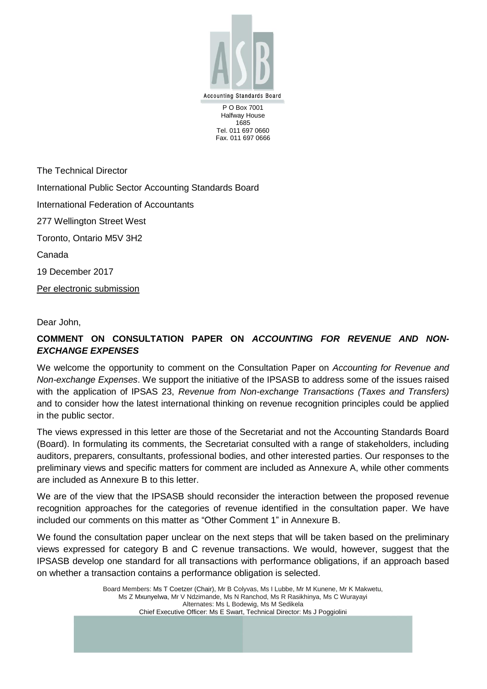

Halfway House 1685 Tel. 011 697 0660 Fax. 011 697 0666

The Technical Director International Public Sector Accounting Standards Board International Federation of Accountants 277 Wellington Street West Toronto, Ontario M5V 3H2 Canada 19 December 2017 Per electronic submission

Dear John,

# **COMMENT ON CONSULTATION PAPER ON** *ACCOUNTING FOR REVENUE AND NON-EXCHANGE EXPENSES*

We welcome the opportunity to comment on the Consultation Paper on *Accounting for Revenue and Non-exchange Expenses*. We support the initiative of the IPSASB to address some of the issues raised with the application of IPSAS 23, *Revenue from Non-exchange Transactions (Taxes and Transfers)* and to consider how the latest international thinking on revenue recognition principles could be applied in the public sector.

The views expressed in this letter are those of the Secretariat and not the Accounting Standards Board (Board). In formulating its comments, the Secretariat consulted with a range of stakeholders, including auditors, preparers, consultants, professional bodies, and other interested parties. Our responses to the preliminary views and specific matters for comment are included as Annexure A, while other comments are included as Annexure B to this letter.

We are of the view that the IPSASB should reconsider the interaction between the proposed revenue recognition approaches for the categories of revenue identified in the consultation paper. We have included our comments on this matter as "Other Comment 1" in Annexure B.

We found the consultation paper unclear on the next steps that will be taken based on the preliminary views expressed for category B and C revenue transactions. We would, however, suggest that the IPSASB develop one standard for all transactions with performance obligations, if an approach based on whether a transaction contains a performance obligation is selected.

> Board Members: Ms T Coetzer (Chair), Mr B Colyvas, Ms I Lubbe, Mr M Kunene, Mr K Makwetu, Ms Z Mxunyelwa, Mr V Ndzimande, Ms N Ranchod, Ms R Rasikhinya, Ms C Wurayayi Alternates: Ms L Bodewig, Ms M Sedikela Chief Executive Officer: Ms E Swart, Technical Director: Ms J Poggiolini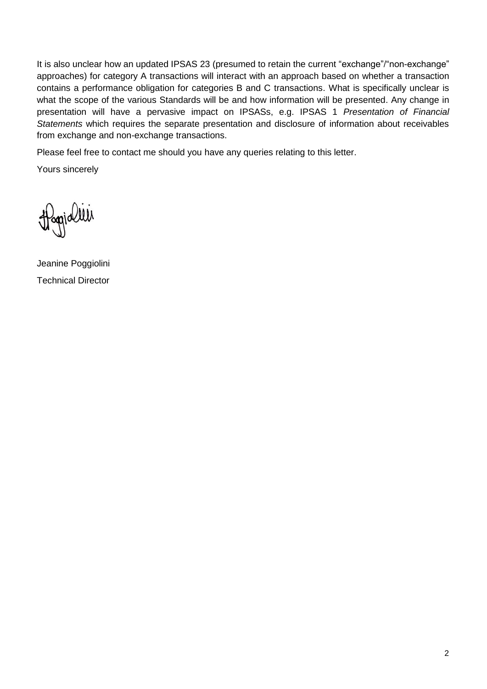It is also unclear how an updated IPSAS 23 (presumed to retain the current "exchange"/"non-exchange" approaches) for category A transactions will interact with an approach based on whether a transaction contains a performance obligation for categories B and C transactions. What is specifically unclear is what the scope of the various Standards will be and how information will be presented. Any change in presentation will have a pervasive impact on IPSASs, e.g. IPSAS 1 *Presentation of Financial Statements* which requires the separate presentation and disclosure of information about receivables from exchange and non-exchange transactions.

Please feel free to contact me should you have any queries relating to this letter.

Yours sincerely

Hoppidlei

Jeanine Poggiolini Technical Director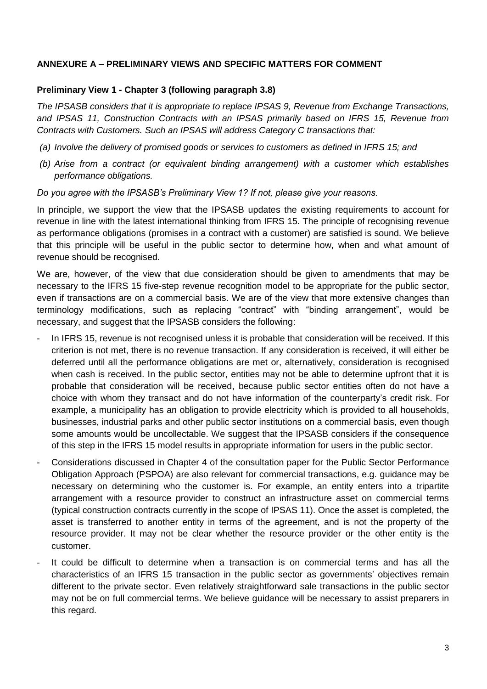### **ANNEXURE A – PRELIMINARY VIEWS AND SPECIFIC MATTERS FOR COMMENT**

#### **Preliminary View 1 - Chapter 3 (following paragraph 3.8)**

*The IPSASB considers that it is appropriate to replace IPSAS 9, Revenue from Exchange Transactions, and IPSAS 11, Construction Contracts with an IPSAS primarily based on IFRS 15, Revenue from Contracts with Customers. Such an IPSAS will address Category C transactions that:*

- *(a) Involve the delivery of promised goods or services to customers as defined in IFRS 15; and*
- *(b) Arise from a contract (or equivalent binding arrangement) with a customer which establishes performance obligations.*

*Do you agree with the IPSASB's Preliminary View 1? If not, please give your reasons.* 

In principle, we support the view that the IPSASB updates the existing requirements to account for revenue in line with the latest international thinking from IFRS 15. The principle of recognising revenue as performance obligations (promises in a contract with a customer) are satisfied is sound. We believe that this principle will be useful in the public sector to determine how, when and what amount of revenue should be recognised.

We are, however, of the view that due consideration should be given to amendments that may be necessary to the IFRS 15 five-step revenue recognition model to be appropriate for the public sector, even if transactions are on a commercial basis. We are of the view that more extensive changes than terminology modifications, such as replacing "contract" with "binding arrangement", would be necessary, and suggest that the IPSASB considers the following:

- In IFRS 15, revenue is not recognised unless it is probable that consideration will be received. If this criterion is not met, there is no revenue transaction. If any consideration is received, it will either be deferred until all the performance obligations are met or, alternatively, consideration is recognised when cash is received. In the public sector, entities may not be able to determine upfront that it is probable that consideration will be received, because public sector entities often do not have a choice with whom they transact and do not have information of the counterparty"s credit risk. For example, a municipality has an obligation to provide electricity which is provided to all households, businesses, industrial parks and other public sector institutions on a commercial basis, even though some amounts would be uncollectable. We suggest that the IPSASB considers if the consequence of this step in the IFRS 15 model results in appropriate information for users in the public sector.
- Considerations discussed in Chapter 4 of the consultation paper for the Public Sector Performance Obligation Approach (PSPOA) are also relevant for commercial transactions, e.g. guidance may be necessary on determining who the customer is. For example, an entity enters into a tripartite arrangement with a resource provider to construct an infrastructure asset on commercial terms (typical construction contracts currently in the scope of IPSAS 11). Once the asset is completed, the asset is transferred to another entity in terms of the agreement, and is not the property of the resource provider. It may not be clear whether the resource provider or the other entity is the customer.
- It could be difficult to determine when a transaction is on commercial terms and has all the characteristics of an IFRS 15 transaction in the public sector as governments" objectives remain different to the private sector. Even relatively straightforward sale transactions in the public sector may not be on full commercial terms. We believe guidance will be necessary to assist preparers in this regard.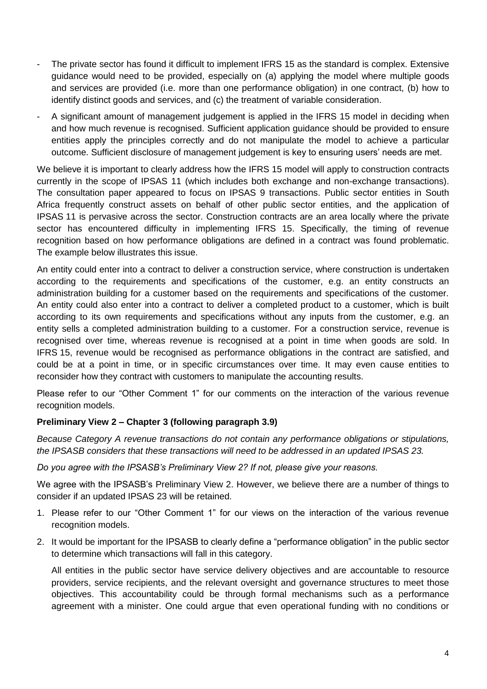- The private sector has found it difficult to implement IFRS 15 as the standard is complex. Extensive guidance would need to be provided, especially on (a) applying the model where multiple goods and services are provided (i.e. more than one performance obligation) in one contract, (b) how to identify distinct goods and services, and (c) the treatment of variable consideration.
- A significant amount of management judgement is applied in the IFRS 15 model in deciding when and how much revenue is recognised. Sufficient application guidance should be provided to ensure entities apply the principles correctly and do not manipulate the model to achieve a particular outcome. Sufficient disclosure of management judgement is key to ensuring users" needs are met.

We believe it is important to clearly address how the IFRS 15 model will apply to construction contracts currently in the scope of IPSAS 11 (which includes both exchange and non-exchange transactions). The consultation paper appeared to focus on IPSAS 9 transactions. Public sector entities in South Africa frequently construct assets on behalf of other public sector entities, and the application of IPSAS 11 is pervasive across the sector. Construction contracts are an area locally where the private sector has encountered difficulty in implementing IFRS 15. Specifically, the timing of revenue recognition based on how performance obligations are defined in a contract was found problematic. The example below illustrates this issue.

An entity could enter into a contract to deliver a construction service, where construction is undertaken according to the requirements and specifications of the customer, e.g. an entity constructs an administration building for a customer based on the requirements and specifications of the customer. An entity could also enter into a contract to deliver a completed product to a customer, which is built according to its own requirements and specifications without any inputs from the customer, e.g. an entity sells a completed administration building to a customer. For a construction service, revenue is recognised over time, whereas revenue is recognised at a point in time when goods are sold. In IFRS 15, revenue would be recognised as performance obligations in the contract are satisfied, and could be at a point in time, or in specific circumstances over time. It may even cause entities to reconsider how they contract with customers to manipulate the accounting results.

Please refer to our "Other Comment 1" for our comments on the interaction of the various revenue recognition models.

### **Preliminary View 2 – Chapter 3 (following paragraph 3.9)**

*Because Category A revenue transactions do not contain any performance obligations or stipulations, the IPSASB considers that these transactions will need to be addressed in an updated IPSAS 23.*

*Do you agree with the IPSASB's Preliminary View 2? If not, please give your reasons.* 

We agree with the IPSASB"s Preliminary View 2. However, we believe there are a number of things to consider if an updated IPSAS 23 will be retained.

- 1. Please refer to our "Other Comment 1" for our views on the interaction of the various revenue recognition models.
- 2. It would be important for the IPSASB to clearly define a "performance obligation" in the public sector to determine which transactions will fall in this category.

All entities in the public sector have service delivery objectives and are accountable to resource providers, service recipients, and the relevant oversight and governance structures to meet those objectives. This accountability could be through formal mechanisms such as a performance agreement with a minister. One could argue that even operational funding with no conditions or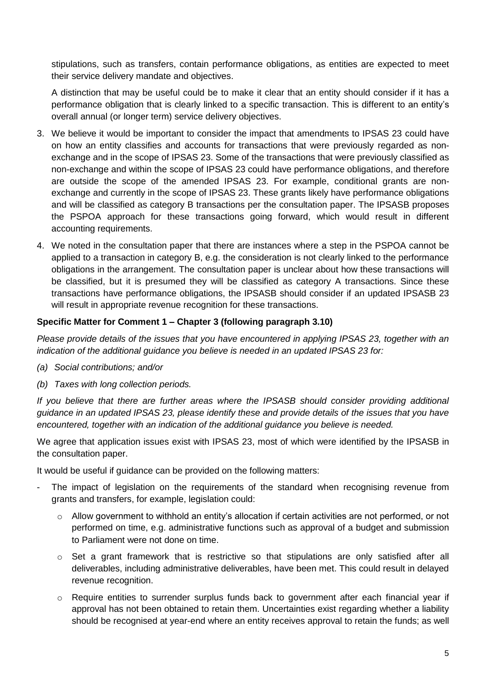stipulations, such as transfers, contain performance obligations, as entities are expected to meet their service delivery mandate and objectives.

A distinction that may be useful could be to make it clear that an entity should consider if it has a performance obligation that is clearly linked to a specific transaction. This is different to an entity"s overall annual (or longer term) service delivery objectives.

- 3. We believe it would be important to consider the impact that amendments to IPSAS 23 could have on how an entity classifies and accounts for transactions that were previously regarded as nonexchange and in the scope of IPSAS 23. Some of the transactions that were previously classified as non-exchange and within the scope of IPSAS 23 could have performance obligations, and therefore are outside the scope of the amended IPSAS 23. For example, conditional grants are nonexchange and currently in the scope of IPSAS 23. These grants likely have performance obligations and will be classified as category B transactions per the consultation paper. The IPSASB proposes the PSPOA approach for these transactions going forward, which would result in different accounting requirements.
- 4. We noted in the consultation paper that there are instances where a step in the PSPOA cannot be applied to a transaction in category B, e.g. the consideration is not clearly linked to the performance obligations in the arrangement. The consultation paper is unclear about how these transactions will be classified, but it is presumed they will be classified as category A transactions. Since these transactions have performance obligations, the IPSASB should consider if an updated IPSASB 23 will result in appropriate revenue recognition for these transactions.

### **Specific Matter for Comment 1 – Chapter 3 (following paragraph 3.10)**

*Please provide details of the issues that you have encountered in applying IPSAS 23, together with an indication of the additional guidance you believe is needed in an updated IPSAS 23 for:*

- *(a) Social contributions; and/or*
- *(b) Taxes with long collection periods.*

*If you believe that there are further areas where the IPSASB should consider providing additional guidance in an updated IPSAS 23, please identify these and provide details of the issues that you have encountered, together with an indication of the additional guidance you believe is needed.*

We agree that application issues exist with IPSAS 23, most of which were identified by the IPSASB in the consultation paper.

It would be useful if guidance can be provided on the following matters:

- The impact of legislation on the requirements of the standard when recognising revenue from grants and transfers, for example, legislation could:
	- o Allow government to withhold an entity"s allocation if certain activities are not performed, or not performed on time, e.g. administrative functions such as approval of a budget and submission to Parliament were not done on time.
	- o Set a grant framework that is restrictive so that stipulations are only satisfied after all deliverables, including administrative deliverables, have been met. This could result in delayed revenue recognition.
	- $\circ$  Require entities to surrender surplus funds back to government after each financial year if approval has not been obtained to retain them. Uncertainties exist regarding whether a liability should be recognised at year-end where an entity receives approval to retain the funds; as well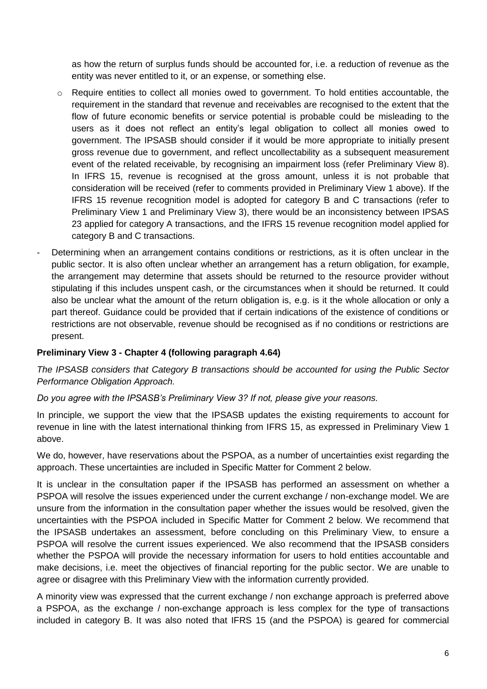as how the return of surplus funds should be accounted for, i.e. a reduction of revenue as the entity was never entitled to it, or an expense, or something else.

- $\circ$  Require entities to collect all monies owed to government. To hold entities accountable, the requirement in the standard that revenue and receivables are recognised to the extent that the flow of future economic benefits or service potential is probable could be misleading to the users as it does not reflect an entity"s legal obligation to collect all monies owed to government. The IPSASB should consider if it would be more appropriate to initially present gross revenue due to government, and reflect uncollectability as a subsequent measurement event of the related receivable, by recognising an impairment loss (refer Preliminary View 8). In IFRS 15, revenue is recognised at the gross amount, unless it is not probable that consideration will be received (refer to comments provided in Preliminary View 1 above). If the IFRS 15 revenue recognition model is adopted for category B and C transactions (refer to Preliminary View 1 and Preliminary View 3), there would be an inconsistency between IPSAS 23 applied for category A transactions, and the IFRS 15 revenue recognition model applied for category B and C transactions.
- Determining when an arrangement contains conditions or restrictions, as it is often unclear in the public sector. It is also often unclear whether an arrangement has a return obligation, for example, the arrangement may determine that assets should be returned to the resource provider without stipulating if this includes unspent cash, or the circumstances when it should be returned. It could also be unclear what the amount of the return obligation is, e.g. is it the whole allocation or only a part thereof. Guidance could be provided that if certain indications of the existence of conditions or restrictions are not observable, revenue should be recognised as if no conditions or restrictions are present.

### **Preliminary View 3 - Chapter 4 (following paragraph 4.64)**

*The IPSASB considers that Category B transactions should be accounted for using the Public Sector Performance Obligation Approach.*

*Do you agree with the IPSASB's Preliminary View 3? If not, please give your reasons.*

In principle, we support the view that the IPSASB updates the existing requirements to account for revenue in line with the latest international thinking from IFRS 15, as expressed in Preliminary View 1 above.

We do, however, have reservations about the PSPOA, as a number of uncertainties exist regarding the approach. These uncertainties are included in Specific Matter for Comment 2 below.

It is unclear in the consultation paper if the IPSASB has performed an assessment on whether a PSPOA will resolve the issues experienced under the current exchange / non-exchange model. We are unsure from the information in the consultation paper whether the issues would be resolved, given the uncertainties with the PSPOA included in Specific Matter for Comment 2 below. We recommend that the IPSASB undertakes an assessment, before concluding on this Preliminary View, to ensure a PSPOA will resolve the current issues experienced. We also recommend that the IPSASB considers whether the PSPOA will provide the necessary information for users to hold entities accountable and make decisions, i.e. meet the objectives of financial reporting for the public sector. We are unable to agree or disagree with this Preliminary View with the information currently provided.

A minority view was expressed that the current exchange / non exchange approach is preferred above a PSPOA, as the exchange / non-exchange approach is less complex for the type of transactions included in category B. It was also noted that IFRS 15 (and the PSPOA) is geared for commercial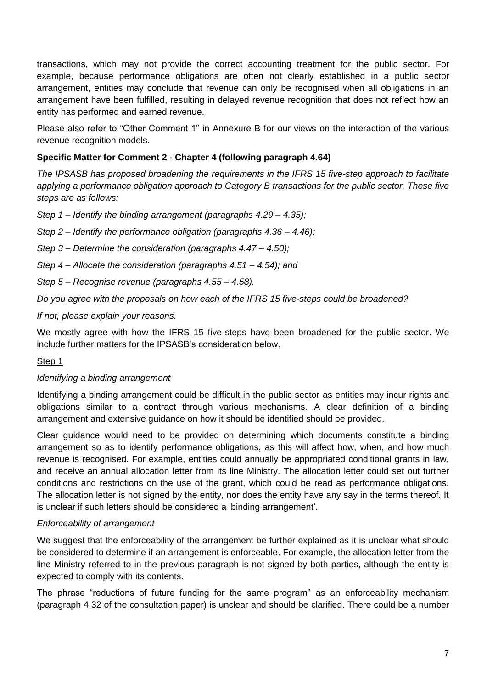transactions, which may not provide the correct accounting treatment for the public sector. For example, because performance obligations are often not clearly established in a public sector arrangement, entities may conclude that revenue can only be recognised when all obligations in an arrangement have been fulfilled, resulting in delayed revenue recognition that does not reflect how an entity has performed and earned revenue.

Please also refer to "Other Comment 1" in Annexure B for our views on the interaction of the various revenue recognition models.

### **Specific Matter for Comment 2 - Chapter 4 (following paragraph 4.64)**

*The IPSASB has proposed broadening the requirements in the IFRS 15 five-step approach to facilitate applying a performance obligation approach to Category B transactions for the public sector. These five steps are as follows:*

*Step 1 – Identify the binding arrangement (paragraphs 4.29 – 4.35);*

*Step 2 – Identify the performance obligation (paragraphs 4.36 – 4.46);*

*Step 3 – Determine the consideration (paragraphs 4.47 – 4.50);*

*Step 4 – Allocate the consideration (paragraphs 4.51 – 4.54); and*

*Step 5 – Recognise revenue (paragraphs 4.55 – 4.58).* 

*Do you agree with the proposals on how each of the IFRS 15 five-steps could be broadened?*

*If not, please explain your reasons.*

We mostly agree with how the IFRS 15 five-steps have been broadened for the public sector. We include further matters for the IPSASB"s consideration below.

#### Step 1

#### *Identifying a binding arrangement*

Identifying a binding arrangement could be difficult in the public sector as entities may incur rights and obligations similar to a contract through various mechanisms. A clear definition of a binding arrangement and extensive guidance on how it should be identified should be provided.

Clear guidance would need to be provided on determining which documents constitute a binding arrangement so as to identify performance obligations, as this will affect how, when, and how much revenue is recognised. For example, entities could annually be appropriated conditional grants in law, and receive an annual allocation letter from its line Ministry. The allocation letter could set out further conditions and restrictions on the use of the grant, which could be read as performance obligations. The allocation letter is not signed by the entity, nor does the entity have any say in the terms thereof. It is unclear if such letters should be considered a "binding arrangement".

#### *Enforceability of arrangement*

We suggest that the enforceability of the arrangement be further explained as it is unclear what should be considered to determine if an arrangement is enforceable. For example, the allocation letter from the line Ministry referred to in the previous paragraph is not signed by both parties, although the entity is expected to comply with its contents.

The phrase "reductions of future funding for the same program" as an enforceability mechanism (paragraph 4.32 of the consultation paper) is unclear and should be clarified. There could be a number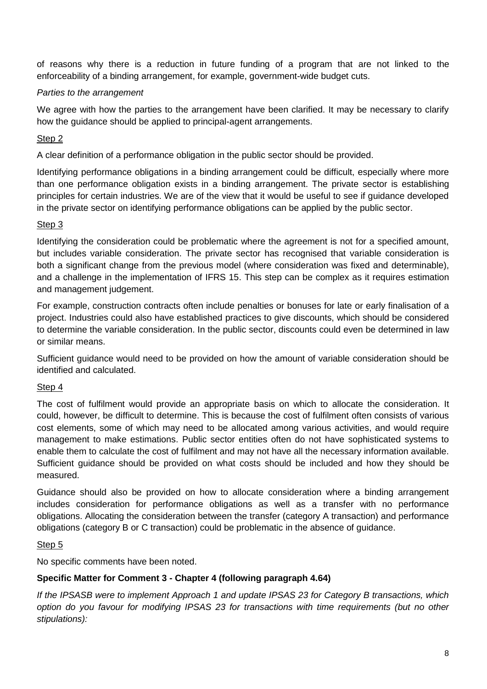of reasons why there is a reduction in future funding of a program that are not linked to the enforceability of a binding arrangement, for example, government-wide budget cuts.

### *Parties to the arrangement*

We agree with how the parties to the arrangement have been clarified. It may be necessary to clarify how the guidance should be applied to principal-agent arrangements.

## Step 2

A clear definition of a performance obligation in the public sector should be provided.

Identifying performance obligations in a binding arrangement could be difficult, especially where more than one performance obligation exists in a binding arrangement. The private sector is establishing principles for certain industries. We are of the view that it would be useful to see if guidance developed in the private sector on identifying performance obligations can be applied by the public sector.

### Step 3

Identifying the consideration could be problematic where the agreement is not for a specified amount, but includes variable consideration. The private sector has recognised that variable consideration is both a significant change from the previous model (where consideration was fixed and determinable), and a challenge in the implementation of IFRS 15. This step can be complex as it requires estimation and management judgement.

For example, construction contracts often include penalties or bonuses for late or early finalisation of a project. Industries could also have established practices to give discounts, which should be considered to determine the variable consideration. In the public sector, discounts could even be determined in law or similar means.

Sufficient guidance would need to be provided on how the amount of variable consideration should be identified and calculated.

### Step 4

The cost of fulfilment would provide an appropriate basis on which to allocate the consideration. It could, however, be difficult to determine. This is because the cost of fulfilment often consists of various cost elements, some of which may need to be allocated among various activities, and would require management to make estimations. Public sector entities often do not have sophisticated systems to enable them to calculate the cost of fulfilment and may not have all the necessary information available. Sufficient guidance should be provided on what costs should be included and how they should be measured.

Guidance should also be provided on how to allocate consideration where a binding arrangement includes consideration for performance obligations as well as a transfer with no performance obligations. Allocating the consideration between the transfer (category A transaction) and performance obligations (category B or C transaction) could be problematic in the absence of guidance.

### Step 5

No specific comments have been noted.

# **Specific Matter for Comment 3 - Chapter 4 (following paragraph 4.64)**

*If the IPSASB were to implement Approach 1 and update IPSAS 23 for Category B transactions, which option do you favour for modifying IPSAS 23 for transactions with time requirements (but no other stipulations):*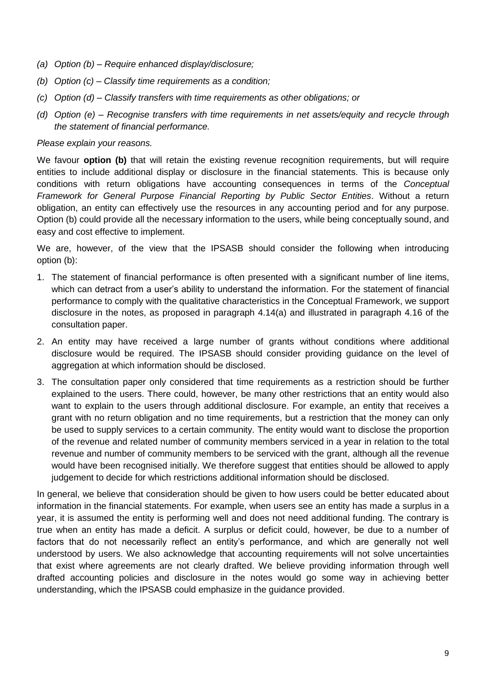- *(a) Option (b) – Require enhanced display/disclosure;*
- *(b) Option (c) – Classify time requirements as a condition;*
- *(c) Option (d) – Classify transfers with time requirements as other obligations; or*
- *(d) Option (e) – Recognise transfers with time requirements in net assets/equity and recycle through the statement of financial performance.*

#### *Please explain your reasons.*

We favour **option (b)** that will retain the existing revenue recognition requirements, but will require entities to include additional display or disclosure in the financial statements. This is because only conditions with return obligations have accounting consequences in terms of the *Conceptual Framework for General Purpose Financial Reporting by Public Sector Entities*. Without a return obligation, an entity can effectively use the resources in any accounting period and for any purpose. Option (b) could provide all the necessary information to the users, while being conceptually sound, and easy and cost effective to implement.

We are, however, of the view that the IPSASB should consider the following when introducing option (b):

- 1. The statement of financial performance is often presented with a significant number of line items, which can detract from a user's ability to understand the information. For the statement of financial performance to comply with the qualitative characteristics in the Conceptual Framework, we support disclosure in the notes, as proposed in paragraph 4.14(a) and illustrated in paragraph 4.16 of the consultation paper.
- 2. An entity may have received a large number of grants without conditions where additional disclosure would be required. The IPSASB should consider providing guidance on the level of aggregation at which information should be disclosed.
- 3. The consultation paper only considered that time requirements as a restriction should be further explained to the users. There could, however, be many other restrictions that an entity would also want to explain to the users through additional disclosure. For example, an entity that receives a grant with no return obligation and no time requirements, but a restriction that the money can only be used to supply services to a certain community. The entity would want to disclose the proportion of the revenue and related number of community members serviced in a year in relation to the total revenue and number of community members to be serviced with the grant, although all the revenue would have been recognised initially. We therefore suggest that entities should be allowed to apply judgement to decide for which restrictions additional information should be disclosed.

In general, we believe that consideration should be given to how users could be better educated about information in the financial statements. For example, when users see an entity has made a surplus in a year, it is assumed the entity is performing well and does not need additional funding. The contrary is true when an entity has made a deficit. A surplus or deficit could, however, be due to a number of factors that do not necessarily reflect an entity"s performance, and which are generally not well understood by users. We also acknowledge that accounting requirements will not solve uncertainties that exist where agreements are not clearly drafted. We believe providing information through well drafted accounting policies and disclosure in the notes would go some way in achieving better understanding, which the IPSASB could emphasize in the guidance provided.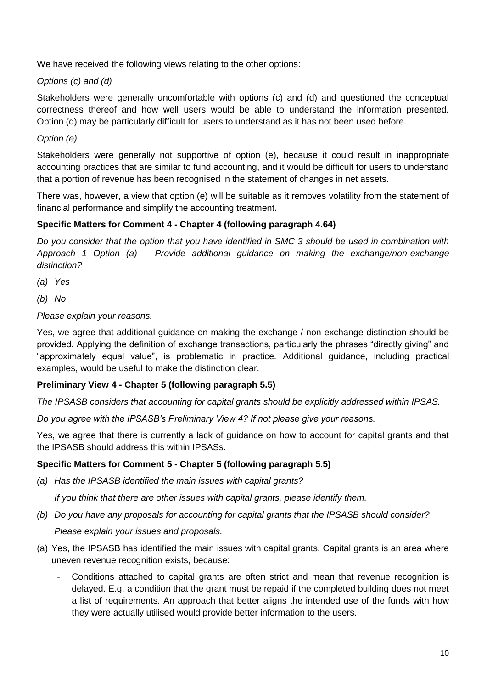We have received the following views relating to the other options:

### *Options (c) and (d)*

Stakeholders were generally uncomfortable with options (c) and (d) and questioned the conceptual correctness thereof and how well users would be able to understand the information presented. Option (d) may be particularly difficult for users to understand as it has not been used before.

### *Option (e)*

Stakeholders were generally not supportive of option (e), because it could result in inappropriate accounting practices that are similar to fund accounting, and it would be difficult for users to understand that a portion of revenue has been recognised in the statement of changes in net assets.

There was, however, a view that option (e) will be suitable as it removes volatility from the statement of financial performance and simplify the accounting treatment.

### **Specific Matters for Comment 4 - Chapter 4 (following paragraph 4.64)**

*Do you consider that the option that you have identified in SMC 3 should be used in combination with Approach 1 Option (a) – Provide additional guidance on making the exchange/non-exchange distinction?*

- *(a) Yes*
- *(b) No*

#### *Please explain your reasons.*

Yes, we agree that additional guidance on making the exchange / non-exchange distinction should be provided. Applying the definition of exchange transactions, particularly the phrases "directly giving" and "approximately equal value", is problematic in practice. Additional guidance, including practical examples, would be useful to make the distinction clear.

#### **Preliminary View 4 - Chapter 5 (following paragraph 5.5)**

*The IPSASB considers that accounting for capital grants should be explicitly addressed within IPSAS.* 

*Do you agree with the IPSASB's Preliminary View 4? If not please give your reasons.* 

Yes, we agree that there is currently a lack of guidance on how to account for capital grants and that the IPSASB should address this within IPSASs.

#### **Specific Matters for Comment 5 - Chapter 5 (following paragraph 5.5)**

*(a) Has the IPSASB identified the main issues with capital grants?*

*If you think that there are other issues with capital grants, please identify them.*

- *(b) Do you have any proposals for accounting for capital grants that the IPSASB should consider? Please explain your issues and proposals.*
- (a) Yes, the IPSASB has identified the main issues with capital grants. Capital grants is an area where uneven revenue recognition exists, because:
	- Conditions attached to capital grants are often strict and mean that revenue recognition is delayed. E.g. a condition that the grant must be repaid if the completed building does not meet a list of requirements. An approach that better aligns the intended use of the funds with how they were actually utilised would provide better information to the users.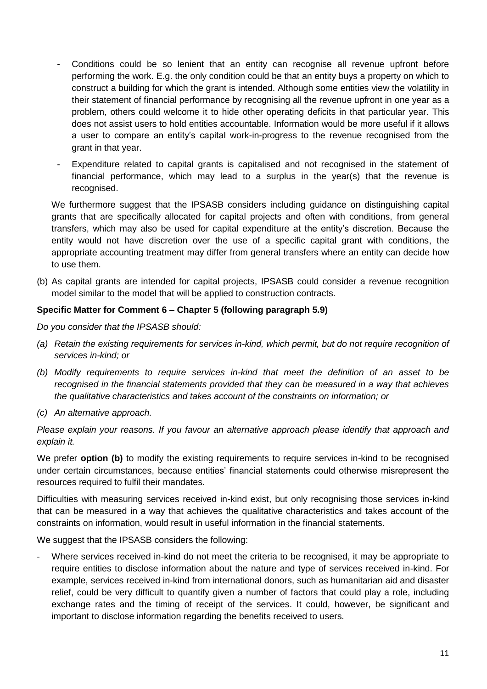- Conditions could be so lenient that an entity can recognise all revenue upfront before performing the work. E.g. the only condition could be that an entity buys a property on which to construct a building for which the grant is intended. Although some entities view the volatility in their statement of financial performance by recognising all the revenue upfront in one year as a problem, others could welcome it to hide other operating deficits in that particular year. This does not assist users to hold entities accountable. Information would be more useful if it allows a user to compare an entity"s capital work-in-progress to the revenue recognised from the grant in that year.
- Expenditure related to capital grants is capitalised and not recognised in the statement of financial performance, which may lead to a surplus in the year(s) that the revenue is recognised.

We furthermore suggest that the IPSASB considers including guidance on distinguishing capital grants that are specifically allocated for capital projects and often with conditions, from general transfers, which may also be used for capital expenditure at the entity"s discretion. Because the entity would not have discretion over the use of a specific capital grant with conditions, the appropriate accounting treatment may differ from general transfers where an entity can decide how to use them.

(b) As capital grants are intended for capital projects, IPSASB could consider a revenue recognition model similar to the model that will be applied to construction contracts.

### **Specific Matter for Comment 6 – Chapter 5 (following paragraph 5.9)**

*Do you consider that the IPSASB should:*

- *(a) Retain the existing requirements for services in-kind, which permit, but do not require recognition of services in-kind; or*
- *(b) Modify requirements to require services in-kind that meet the definition of an asset to be recognised in the financial statements provided that they can be measured in a way that achieves the qualitative characteristics and takes account of the constraints on information; or*
- *(c) An alternative approach.*

*Please explain your reasons. If you favour an alternative approach please identify that approach and explain it.* 

We prefer **option (b)** to modify the existing requirements to require services in-kind to be recognised under certain circumstances, because entities" financial statements could otherwise misrepresent the resources required to fulfil their mandates.

Difficulties with measuring services received in-kind exist, but only recognising those services in-kind that can be measured in a way that achieves the qualitative characteristics and takes account of the constraints on information, would result in useful information in the financial statements.

We suggest that the IPSASB considers the following:

Where services received in-kind do not meet the criteria to be recognised, it may be appropriate to require entities to disclose information about the nature and type of services received in-kind. For example, services received in-kind from international donors, such as humanitarian aid and disaster relief, could be very difficult to quantify given a number of factors that could play a role, including exchange rates and the timing of receipt of the services. It could, however, be significant and important to disclose information regarding the benefits received to users.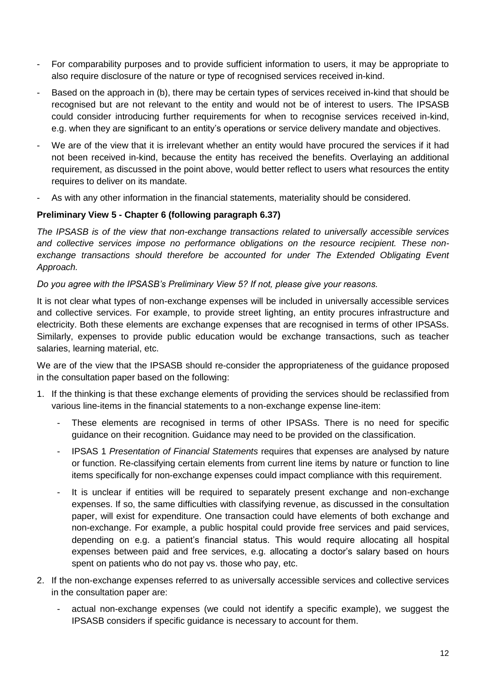- For comparability purposes and to provide sufficient information to users, it may be appropriate to also require disclosure of the nature or type of recognised services received in-kind.
- Based on the approach in (b), there may be certain types of services received in-kind that should be recognised but are not relevant to the entity and would not be of interest to users. The IPSASB could consider introducing further requirements for when to recognise services received in-kind, e.g. when they are significant to an entity"s operations or service delivery mandate and objectives.
- We are of the view that it is irrelevant whether an entity would have procured the services if it had not been received in-kind, because the entity has received the benefits. Overlaying an additional requirement, as discussed in the point above, would better reflect to users what resources the entity requires to deliver on its mandate.
- As with any other information in the financial statements, materiality should be considered.

### **Preliminary View 5 - Chapter 6 (following paragraph 6.37)**

*The IPSASB is of the view that non-exchange transactions related to universally accessible services and collective services impose no performance obligations on the resource recipient. These non*exchange transactions should therefore be accounted for under The Extended Obligating Event *Approach.* 

### *Do you agree with the IPSASB's Preliminary View 5? If not, please give your reasons.*

It is not clear what types of non-exchange expenses will be included in universally accessible services and collective services. For example, to provide street lighting, an entity procures infrastructure and electricity. Both these elements are exchange expenses that are recognised in terms of other IPSASs. Similarly, expenses to provide public education would be exchange transactions, such as teacher salaries, learning material, etc.

We are of the view that the IPSASB should re-consider the appropriateness of the guidance proposed in the consultation paper based on the following:

- 1. If the thinking is that these exchange elements of providing the services should be reclassified from various line-items in the financial statements to a non-exchange expense line-item:
	- These elements are recognised in terms of other IPSASs. There is no need for specific guidance on their recognition. Guidance may need to be provided on the classification.
	- IPSAS 1 *Presentation of Financial Statements* requires that expenses are analysed by nature or function. Re-classifying certain elements from current line items by nature or function to line items specifically for non-exchange expenses could impact compliance with this requirement.
	- It is unclear if entities will be required to separately present exchange and non-exchange expenses. If so, the same difficulties with classifying revenue, as discussed in the consultation paper, will exist for expenditure. One transaction could have elements of both exchange and non-exchange. For example, a public hospital could provide free services and paid services, depending on e.g. a patient"s financial status. This would require allocating all hospital expenses between paid and free services, e.g. allocating a doctor"s salary based on hours spent on patients who do not pay vs. those who pay, etc.
- 2. If the non-exchange expenses referred to as universally accessible services and collective services in the consultation paper are:
	- actual non-exchange expenses (we could not identify a specific example), we suggest the IPSASB considers if specific guidance is necessary to account for them.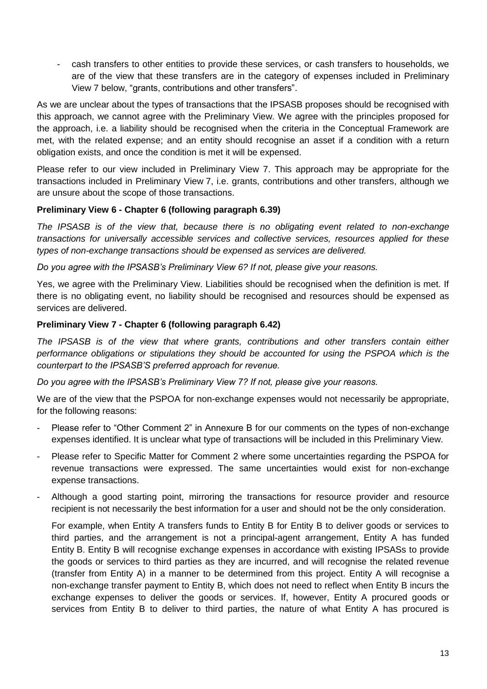- cash transfers to other entities to provide these services, or cash transfers to households, we are of the view that these transfers are in the category of expenses included in Preliminary View 7 below, "grants, contributions and other transfers".

As we are unclear about the types of transactions that the IPSASB proposes should be recognised with this approach, we cannot agree with the Preliminary View. We agree with the principles proposed for the approach, i.e. a liability should be recognised when the criteria in the Conceptual Framework are met, with the related expense; and an entity should recognise an asset if a condition with a return obligation exists, and once the condition is met it will be expensed.

Please refer to our view included in Preliminary View 7. This approach may be appropriate for the transactions included in Preliminary View 7, i.e. grants, contributions and other transfers, although we are unsure about the scope of those transactions.

### **Preliminary View 6 - Chapter 6 (following paragraph 6.39)**

*The IPSASB is of the view that, because there is no obligating event related to non-exchange transactions for universally accessible services and collective services, resources applied for these types of non-exchange transactions should be expensed as services are delivered.*

*Do you agree with the IPSASB's Preliminary View 6? If not, please give your reasons.*

Yes, we agree with the Preliminary View. Liabilities should be recognised when the definition is met. If there is no obligating event, no liability should be recognised and resources should be expensed as services are delivered.

### **Preliminary View 7 - Chapter 6 (following paragraph 6.42)**

*The IPSASB is of the view that where grants, contributions and other transfers contain either performance obligations or stipulations they should be accounted for using the PSPOA which is the counterpart to the IPSASB'S preferred approach for revenue.*

*Do you agree with the IPSASB's Preliminary View 7? If not, please give your reasons.*

We are of the view that the PSPOA for non-exchange expenses would not necessarily be appropriate. for the following reasons:

- Please refer to "Other Comment 2" in Annexure B for our comments on the types of non-exchange expenses identified. It is unclear what type of transactions will be included in this Preliminary View.
- Please refer to Specific Matter for Comment 2 where some uncertainties regarding the PSPOA for revenue transactions were expressed. The same uncertainties would exist for non-exchange expense transactions.
- Although a good starting point, mirroring the transactions for resource provider and resource recipient is not necessarily the best information for a user and should not be the only consideration.

For example, when Entity A transfers funds to Entity B for Entity B to deliver goods or services to third parties, and the arrangement is not a principal-agent arrangement, Entity A has funded Entity B. Entity B will recognise exchange expenses in accordance with existing IPSASs to provide the goods or services to third parties as they are incurred, and will recognise the related revenue (transfer from Entity A) in a manner to be determined from this project. Entity A will recognise a non-exchange transfer payment to Entity B, which does not need to reflect when Entity B incurs the exchange expenses to deliver the goods or services. If, however, Entity A procured goods or services from Entity B to deliver to third parties, the nature of what Entity A has procured is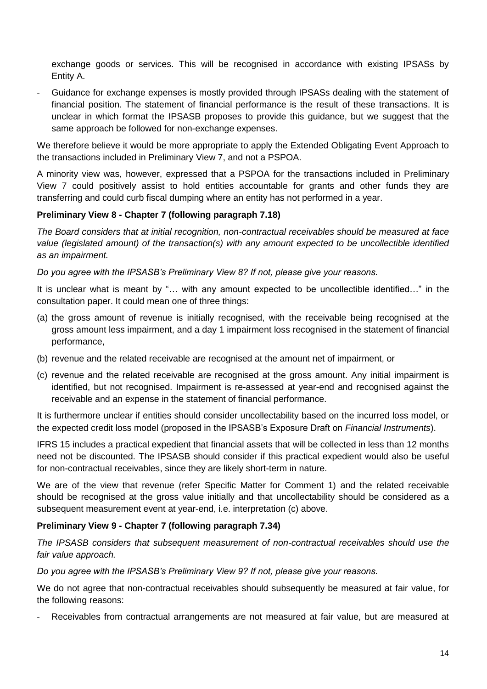exchange goods or services. This will be recognised in accordance with existing IPSASs by Entity A.

- Guidance for exchange expenses is mostly provided through IPSASs dealing with the statement of financial position. The statement of financial performance is the result of these transactions. It is unclear in which format the IPSASB proposes to provide this guidance, but we suggest that the same approach be followed for non-exchange expenses.

We therefore believe it would be more appropriate to apply the Extended Obligating Event Approach to the transactions included in Preliminary View 7, and not a PSPOA.

A minority view was, however, expressed that a PSPOA for the transactions included in Preliminary View 7 could positively assist to hold entities accountable for grants and other funds they are transferring and could curb fiscal dumping where an entity has not performed in a year.

### **Preliminary View 8 - Chapter 7 (following paragraph 7.18)**

*The Board considers that at initial recognition, non-contractual receivables should be measured at face value (legislated amount) of the transaction(s) with any amount expected to be uncollectible identified as an impairment.*

*Do you agree with the IPSASB's Preliminary View 8? If not, please give your reasons.*

It is unclear what is meant by "… with any amount expected to be uncollectible identified…" in the consultation paper. It could mean one of three things:

- (a) the gross amount of revenue is initially recognised, with the receivable being recognised at the gross amount less impairment, and a day 1 impairment loss recognised in the statement of financial performance,
- (b) revenue and the related receivable are recognised at the amount net of impairment, or
- (c) revenue and the related receivable are recognised at the gross amount. Any initial impairment is identified, but not recognised. Impairment is re-assessed at year-end and recognised against the receivable and an expense in the statement of financial performance.

It is furthermore unclear if entities should consider uncollectability based on the incurred loss model, or the expected credit loss model (proposed in the IPSASB"s Exposure Draft on *Financial Instruments*).

IFRS 15 includes a practical expedient that financial assets that will be collected in less than 12 months need not be discounted. The IPSASB should consider if this practical expedient would also be useful for non-contractual receivables, since they are likely short-term in nature.

We are of the view that revenue (refer Specific Matter for Comment 1) and the related receivable should be recognised at the gross value initially and that uncollectability should be considered as a subsequent measurement event at year-end, i.e. interpretation (c) above.

### **Preliminary View 9 - Chapter 7 (following paragraph 7.34)**

*The IPSASB considers that subsequent measurement of non-contractual receivables should use the fair value approach.*

*Do you agree with the IPSASB's Preliminary View 9? If not, please give your reasons.*

We do not agree that non-contractual receivables should subsequently be measured at fair value, for the following reasons:

Receivables from contractual arrangements are not measured at fair value, but are measured at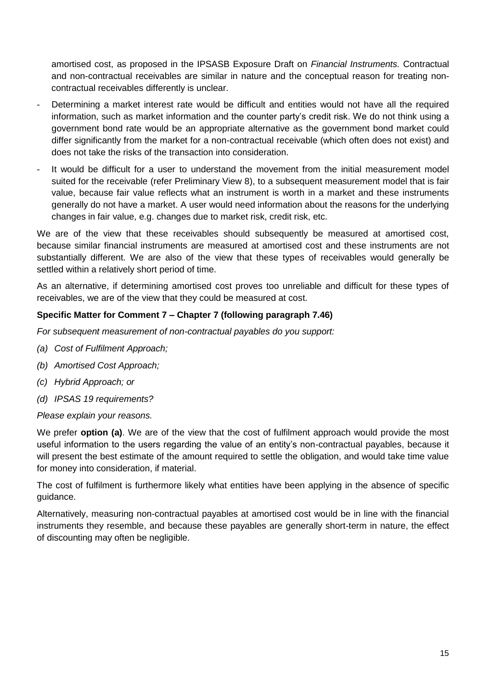amortised cost, as proposed in the IPSASB Exposure Draft on *Financial Instruments.* Contractual and non-contractual receivables are similar in nature and the conceptual reason for treating noncontractual receivables differently is unclear.

- Determining a market interest rate would be difficult and entities would not have all the required information, such as market information and the counter party's credit risk. We do not think using a government bond rate would be an appropriate alternative as the government bond market could differ significantly from the market for a non-contractual receivable (which often does not exist) and does not take the risks of the transaction into consideration.
- It would be difficult for a user to understand the movement from the initial measurement model suited for the receivable (refer Preliminary View 8), to a subsequent measurement model that is fair value, because fair value reflects what an instrument is worth in a market and these instruments generally do not have a market. A user would need information about the reasons for the underlying changes in fair value, e.g. changes due to market risk, credit risk, etc.

We are of the view that these receivables should subsequently be measured at amortised cost, because similar financial instruments are measured at amortised cost and these instruments are not substantially different. We are also of the view that these types of receivables would generally be settled within a relatively short period of time.

As an alternative, if determining amortised cost proves too unreliable and difficult for these types of receivables, we are of the view that they could be measured at cost.

### **Specific Matter for Comment 7 – Chapter 7 (following paragraph 7.46)**

*For subsequent measurement of non-contractual payables do you support:*

- *(a) Cost of Fulfilment Approach;*
- *(b) Amortised Cost Approach;*
- *(c) Hybrid Approach; or*
- *(d) IPSAS 19 requirements?*

*Please explain your reasons.*

We prefer **option (a)**. We are of the view that the cost of fulfilment approach would provide the most useful information to the users regarding the value of an entity"s non-contractual payables, because it will present the best estimate of the amount required to settle the obligation, and would take time value for money into consideration, if material.

The cost of fulfilment is furthermore likely what entities have been applying in the absence of specific guidance.

Alternatively, measuring non-contractual payables at amortised cost would be in line with the financial instruments they resemble, and because these payables are generally short-term in nature, the effect of discounting may often be negligible.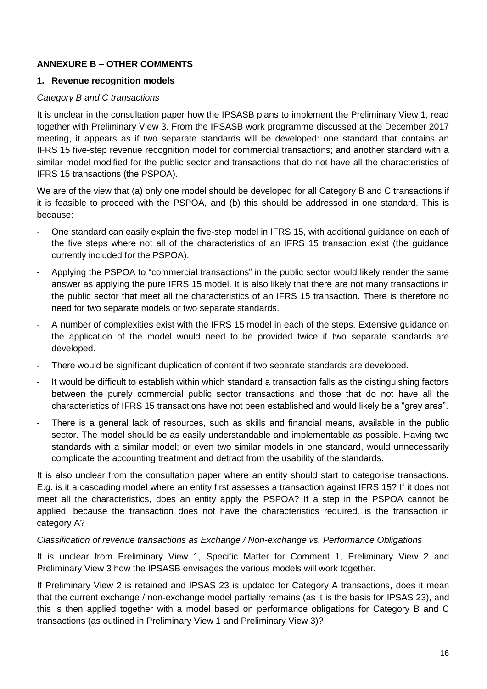## **ANNEXURE B – OTHER COMMENTS**

#### **1. Revenue recognition models**

#### *Category B and C transactions*

It is unclear in the consultation paper how the IPSASB plans to implement the Preliminary View 1, read together with Preliminary View 3. From the IPSASB work programme discussed at the December 2017 meeting, it appears as if two separate standards will be developed: one standard that contains an IFRS 15 five-step revenue recognition model for commercial transactions; and another standard with a similar model modified for the public sector and transactions that do not have all the characteristics of IFRS 15 transactions (the PSPOA).

We are of the view that (a) only one model should be developed for all Category B and C transactions if it is feasible to proceed with the PSPOA, and (b) this should be addressed in one standard. This is because:

- One standard can easily explain the five-step model in IFRS 15, with additional guidance on each of the five steps where not all of the characteristics of an IFRS 15 transaction exist (the guidance currently included for the PSPOA).
- Applying the PSPOA to "commercial transactions" in the public sector would likely render the same answer as applying the pure IFRS 15 model. It is also likely that there are not many transactions in the public sector that meet all the characteristics of an IFRS 15 transaction. There is therefore no need for two separate models or two separate standards.
- A number of complexities exist with the IFRS 15 model in each of the steps. Extensive guidance on the application of the model would need to be provided twice if two separate standards are developed.
- There would be significant duplication of content if two separate standards are developed.
- It would be difficult to establish within which standard a transaction falls as the distinguishing factors between the purely commercial public sector transactions and those that do not have all the characteristics of IFRS 15 transactions have not been established and would likely be a "grey area".
- There is a general lack of resources, such as skills and financial means, available in the public sector. The model should be as easily understandable and implementable as possible. Having two standards with a similar model; or even two similar models in one standard, would unnecessarily complicate the accounting treatment and detract from the usability of the standards.

It is also unclear from the consultation paper where an entity should start to categorise transactions. E.g. is it a cascading model where an entity first assesses a transaction against IFRS 15? If it does not meet all the characteristics, does an entity apply the PSPOA? If a step in the PSPOA cannot be applied, because the transaction does not have the characteristics required, is the transaction in category A?

#### *Classification of revenue transactions as Exchange / Non-exchange vs. Performance Obligations*

It is unclear from Preliminary View 1, Specific Matter for Comment 1, Preliminary View 2 and Preliminary View 3 how the IPSASB envisages the various models will work together.

If Preliminary View 2 is retained and IPSAS 23 is updated for Category A transactions, does it mean that the current exchange / non-exchange model partially remains (as it is the basis for IPSAS 23), and this is then applied together with a model based on performance obligations for Category B and C transactions (as outlined in Preliminary View 1 and Preliminary View 3)?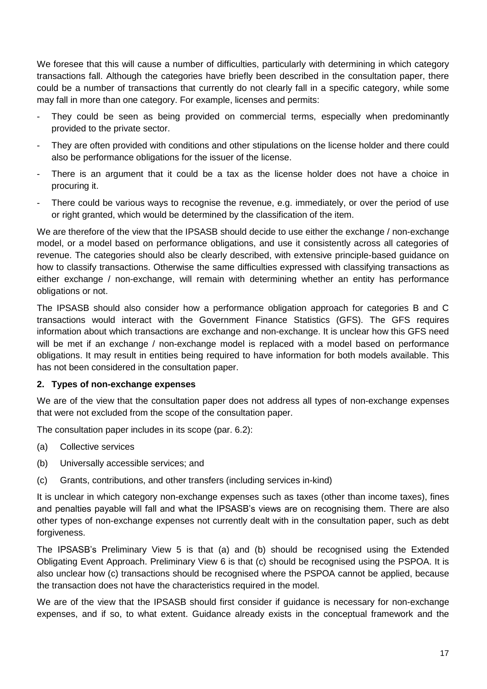We foresee that this will cause a number of difficulties, particularly with determining in which category transactions fall. Although the categories have briefly been described in the consultation paper, there could be a number of transactions that currently do not clearly fall in a specific category, while some may fall in more than one category. For example, licenses and permits:

- They could be seen as being provided on commercial terms, especially when predominantly provided to the private sector.
- They are often provided with conditions and other stipulations on the license holder and there could also be performance obligations for the issuer of the license.
- There is an argument that it could be a tax as the license holder does not have a choice in procuring it.
- There could be various ways to recognise the revenue, e.g. immediately, or over the period of use or right granted, which would be determined by the classification of the item.

We are therefore of the view that the IPSASB should decide to use either the exchange / non-exchange model, or a model based on performance obligations, and use it consistently across all categories of revenue. The categories should also be clearly described, with extensive principle-based guidance on how to classify transactions. Otherwise the same difficulties expressed with classifying transactions as either exchange / non-exchange, will remain with determining whether an entity has performance obligations or not.

The IPSASB should also consider how a performance obligation approach for categories B and C transactions would interact with the Government Finance Statistics (GFS). The GFS requires information about which transactions are exchange and non-exchange. It is unclear how this GFS need will be met if an exchange / non-exchange model is replaced with a model based on performance obligations. It may result in entities being required to have information for both models available. This has not been considered in the consultation paper.

#### **2. Types of non-exchange expenses**

We are of the view that the consultation paper does not address all types of non-exchange expenses that were not excluded from the scope of the consultation paper.

The consultation paper includes in its scope (par. 6.2):

- (a) Collective services
- (b) Universally accessible services; and
- (c) Grants, contributions, and other transfers (including services in-kind)

It is unclear in which category non-exchange expenses such as taxes (other than income taxes), fines and penalties payable will fall and what the IPSASB"s views are on recognising them. There are also other types of non-exchange expenses not currently dealt with in the consultation paper, such as debt forgiveness.

The IPSASB"s Preliminary View 5 is that (a) and (b) should be recognised using the Extended Obligating Event Approach. Preliminary View 6 is that (c) should be recognised using the PSPOA. It is also unclear how (c) transactions should be recognised where the PSPOA cannot be applied, because the transaction does not have the characteristics required in the model.

We are of the view that the IPSASB should first consider if guidance is necessary for non-exchange expenses, and if so, to what extent. Guidance already exists in the conceptual framework and the